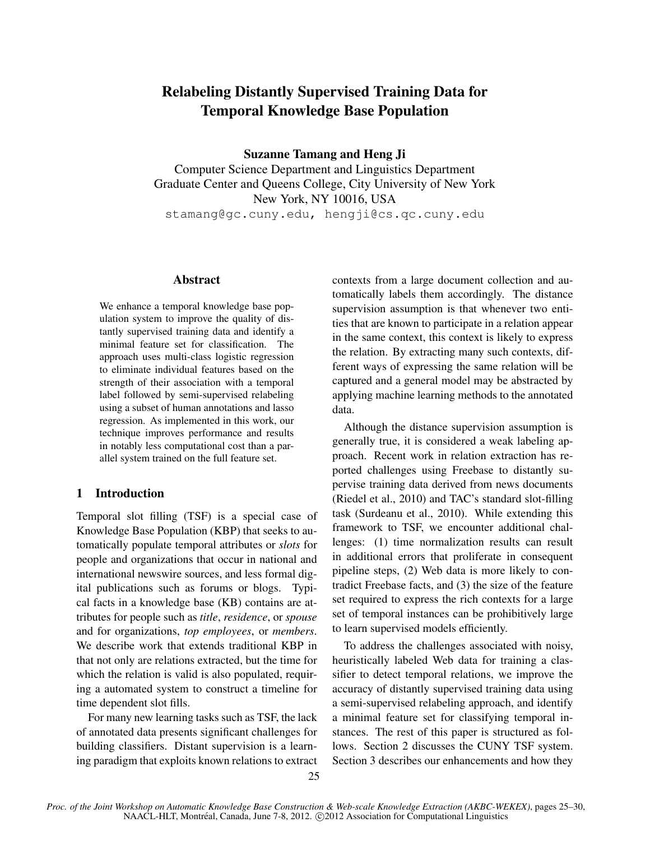# Relabeling Distantly Supervised Training Data for Temporal Knowledge Base Population

Suzanne Tamang and Heng Ji

Computer Science Department and Linguistics Department Graduate Center and Queens College, City University of New York New York, NY 10016, USA stamang@gc.cuny.edu, hengji@cs.qc.cuny.edu

# Abstract

We enhance a temporal knowledge base population system to improve the quality of distantly supervised training data and identify a minimal feature set for classification. The approach uses multi-class logistic regression to eliminate individual features based on the strength of their association with a temporal label followed by semi-supervised relabeling using a subset of human annotations and lasso regression. As implemented in this work, our technique improves performance and results in notably less computational cost than a parallel system trained on the full feature set.

# 1 Introduction

Temporal slot filling (TSF) is a special case of Knowledge Base Population (KBP) that seeks to automatically populate temporal attributes or *slots* for people and organizations that occur in national and international newswire sources, and less formal digital publications such as forums or blogs. Typical facts in a knowledge base (KB) contains are attributes for people such as *title*, *residence*, or *spouse* and for organizations, *top employees*, or *members*. We describe work that extends traditional KBP in that not only are relations extracted, but the time for which the relation is valid is also populated, requiring a automated system to construct a timeline for time dependent slot fills.

For many new learning tasks such as TSF, the lack of annotated data presents significant challenges for building classifiers. Distant supervision is a learning paradigm that exploits known relations to extract contexts from a large document collection and automatically labels them accordingly. The distance supervision assumption is that whenever two entities that are known to participate in a relation appear in the same context, this context is likely to express the relation. By extracting many such contexts, different ways of expressing the same relation will be captured and a general model may be abstracted by applying machine learning methods to the annotated data.

Although the distance supervision assumption is generally true, it is considered a weak labeling approach. Recent work in relation extraction has reported challenges using Freebase to distantly supervise training data derived from news documents (Riedel et al., 2010) and TAC's standard slot-filling task (Surdeanu et al., 2010). While extending this framework to TSF, we encounter additional challenges: (1) time normalization results can result in additional errors that proliferate in consequent pipeline steps, (2) Web data is more likely to contradict Freebase facts, and (3) the size of the feature set required to express the rich contexts for a large set of temporal instances can be prohibitively large to learn supervised models efficiently.

To address the challenges associated with noisy, heuristically labeled Web data for training a classifier to detect temporal relations, we improve the accuracy of distantly supervised training data using a semi-supervised relabeling approach, and identify a minimal feature set for classifying temporal instances. The rest of this paper is structured as follows. Section 2 discusses the CUNY TSF system. Section 3 describes our enhancements and how they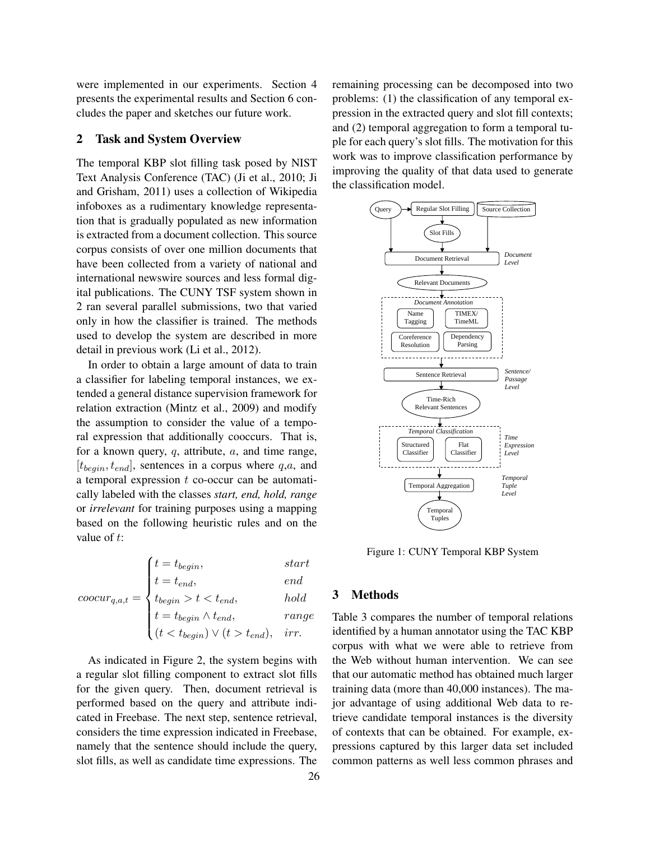were implemented in our experiments. Section 4 presents the experimental results and Section 6 concludes the paper and sketches our future work.

## 2 Task and System Overview

The temporal KBP slot filling task posed by NIST Text Analysis Conference (TAC) (Ji et al., 2010; Ji and Grisham, 2011) uses a collection of Wikipedia infoboxes as a rudimentary knowledge representation that is gradually populated as new information is extracted from a document collection. This source corpus consists of over one million documents that have been collected from a variety of national and international newswire sources and less formal digital publications. The CUNY TSF system shown in 2 ran several parallel submissions, two that varied only in how the classifier is trained. The methods used to develop the system are described in more detail in previous work (Li et al., 2012).

In order to obtain a large amount of data to train a classifier for labeling temporal instances, we extended a general distance supervision framework for relation extraction (Mintz et al., 2009) and modify the assumption to consider the value of a temporal expression that additionally cooccurs. That is, for a known query,  $q$ , attribute,  $a$ , and time range,  $[t_{begin}, t_{end}]$ , sentences in a corpus where  $q, a$ , and a temporal expression  $t$  co-occur can be automatically labeled with the classes *start, end, hold, range* or *irrelevant* for training purposes using a mapping based on the following heuristic rules and on the value of t:

$$
coocur_{q,a,t} = \begin{cases} t = t_{begin}, & start \\ t = t_{end}, & end \\ t_{begin} & hold \\ t = t_{begin} \land t_{end}, & range \\ (t < t_{begin}) \lor (t > t_{end}), & irr. \end{cases}
$$

As indicated in Figure 2, the system begins with a regular slot filling component to extract slot fills for the given query. Then, document retrieval is performed based on the query and attribute indicated in Freebase. The next step, sentence retrieval, considers the time expression indicated in Freebase, namely that the sentence should include the query, slot fills, as well as candidate time expressions. The remaining processing can be decomposed into two problems: (1) the classification of any temporal expression in the extracted query and slot fill contexts; and (2) temporal aggregation to form a temporal tuple for each query's slot fills. The motivation for this work was to improve classification performance by improving the quality of that data used to generate the classification model.



Figure 1: CUNY Temporal KBP System

#### 3 Methods

Table 3 compares the number of temporal relations identified by a human annotator using the TAC KBP corpus with what we were able to retrieve from the Web without human intervention. We can see that our automatic method has obtained much larger training data (more than 40,000 instances). The major advantage of using additional Web data to retrieve candidate temporal instances is the diversity of contexts that can be obtained. For example, expressions captured by this larger data set included common patterns as well less common phrases and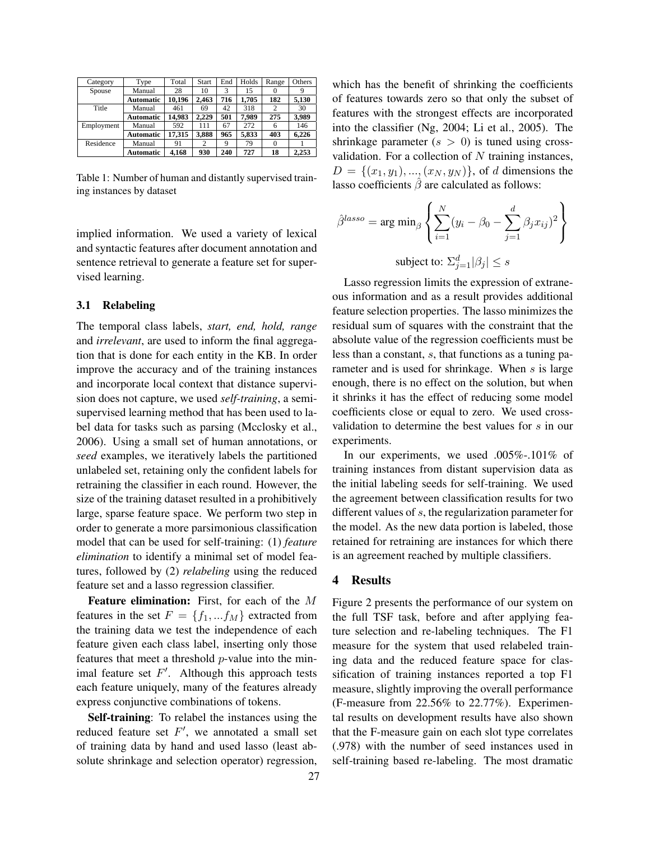| Category   | Type             | Total  | Start          | End | Holds | Range          | Others |
|------------|------------------|--------|----------------|-----|-------|----------------|--------|
| Spouse     | Manual           | 28     | 10             | 3   | 15    | $\Omega$       |        |
|            | <b>Automatic</b> | 10.196 | 2.463          | 716 | 1.705 | 182            | 5.130  |
| Title      | Manual           | 461    | 69             | 42  | 318   | $\overline{c}$ | 30     |
|            | <b>Automatic</b> | 14.983 | 2.229          | 501 | 7.989 | 275            | 3.989  |
| Employment | Manual           | 592    | 111            | 67  | 272   | 6              | 146    |
|            | <b>Automatic</b> | 17,315 | 3,888          | 965 | 5,833 | 403            | 6,226  |
| Residence  | Manual           | 91     | $\overline{c}$ | 9   | 79    | 0              |        |
|            | <b>Automatic</b> | 4.168  | 930            | 240 | 727   | 18             | 2.253  |

Table 1: Number of human and distantly supervised training instances by dataset

implied information. We used a variety of lexical and syntactic features after document annotation and sentence retrieval to generate a feature set for supervised learning.

#### 3.1 Relabeling

The temporal class labels, *start, end, hold, range* and *irrelevant*, are used to inform the final aggregation that is done for each entity in the KB. In order improve the accuracy and of the training instances and incorporate local context that distance supervision does not capture, we used *self-training*, a semisupervised learning method that has been used to label data for tasks such as parsing (Mcclosky et al., 2006). Using a small set of human annotations, or *seed* examples, we iteratively labels the partitioned unlabeled set, retaining only the confident labels for retraining the classifier in each round. However, the size of the training dataset resulted in a prohibitively large, sparse feature space. We perform two step in order to generate a more parsimonious classification model that can be used for self-training: (1) *feature elimination* to identify a minimal set of model features, followed by (2) *relabeling* using the reduced feature set and a lasso regression classifier.

Feature elimination: First, for each of the M features in the set  $F = \{f_1, ... f_M\}$  extracted from the training data we test the independence of each feature given each class label, inserting only those features that meet a threshold  $p$ -value into the minimal feature set  $F'$ . Although this approach tests each feature uniquely, many of the features already express conjunctive combinations of tokens.

Self-training: To relabel the instances using the reduced feature set  $F'$ , we annotated a small set of training data by hand and used lasso (least absolute shrinkage and selection operator) regression, which has the benefit of shrinking the coefficients of features towards zero so that only the subset of features with the strongest effects are incorporated into the classifier (Ng, 2004; Li et al., 2005). The shrinkage parameter  $(s > 0)$  is tuned using crossvalidation. For a collection of  $N$  training instances,  $D = \{(x_1, y_1), ..., (x_N, y_N)\}\,$  of d dimensions the lasso coefficients  $\hat{\beta}$  are calculated as follows:

$$
\hat{\beta}^{lasso} = \arg \min_{\beta} \left\{ \sum_{i=1}^{N} (y_i - \beta_0 - \sum_{j=1}^{d} \beta_j x_{ij})^2 \right\}
$$
  
subject to:  $\sum_{j=1}^{d} |\beta_j| \leq s$ 

Lasso regression limits the expression of extraneous information and as a result provides additional feature selection properties. The lasso minimizes the residual sum of squares with the constraint that the absolute value of the regression coefficients must be less than a constant, s, that functions as a tuning parameter and is used for shrinkage. When s is large enough, there is no effect on the solution, but when it shrinks it has the effect of reducing some model coefficients close or equal to zero. We used crossvalidation to determine the best values for s in our experiments.

In our experiments, we used .005%-.101% of training instances from distant supervision data as the initial labeling seeds for self-training. We used the agreement between classification results for two different values of s, the regularization parameter for the model. As the new data portion is labeled, those retained for retraining are instances for which there is an agreement reached by multiple classifiers.

#### 4 Results

Figure 2 presents the performance of our system on the full TSF task, before and after applying feature selection and re-labeling techniques. The F1 measure for the system that used relabeled training data and the reduced feature space for classification of training instances reported a top F1 measure, slightly improving the overall performance (F-measure from 22.56% to 22.77%). Experimental results on development results have also shown that the F-measure gain on each slot type correlates (.978) with the number of seed instances used in self-training based re-labeling. The most dramatic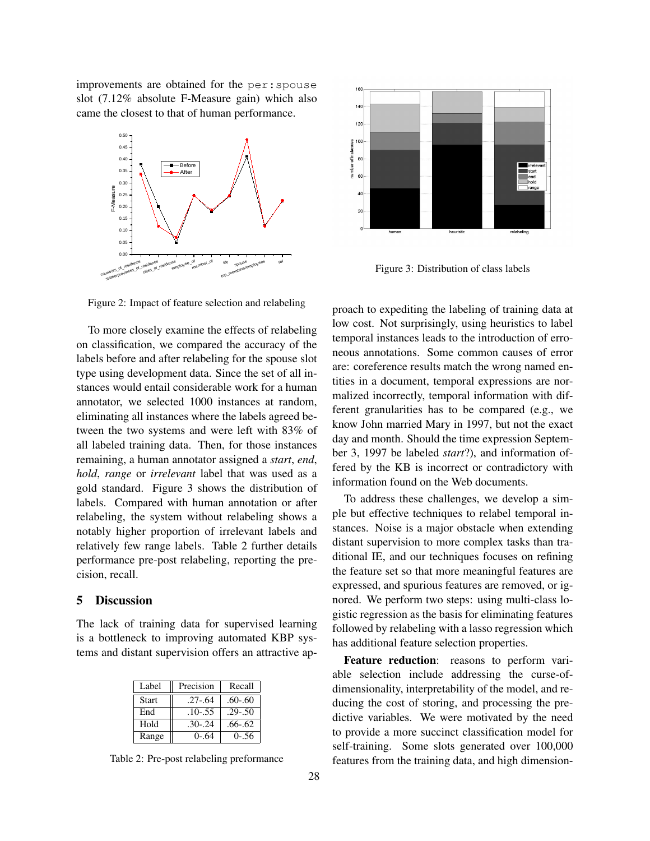improvements are obtained for the per:spouse slot (7.12% absolute F-Measure gain) which also came the closest to that of human performance.



Figure 2: Impact of feature selection and relabeling

To more closely examine the effects of relabeling on classification, we compared the accuracy of the labels before and after relabeling for the spouse slot type using development data. Since the set of all instances would entail considerable work for a human annotator, we selected 1000 instances at random, eliminating all instances where the labels agreed between the two systems and were left with 83% of all labeled training data. Then, for those instances remaining, a human annotator assigned a *start*, *end*, *hold*, *range* or *irrelevant* label that was used as a gold standard. Figure 3 shows the distribution of labels. Compared with human annotation or after relabeling, the system without relabeling shows a notably higher proportion of irrelevant labels and relatively few range labels. Table 2 further details performance pre-post relabeling, reporting the precision, recall.

#### 5 Discussion

The lack of training data for supervised learning is a bottleneck to improving automated KBP systems and distant supervision offers an attractive ap-

| Label        | Precision   | Recall      |
|--------------|-------------|-------------|
| <b>Start</b> | $.27 - .64$ | $.60 - .60$ |
| End          | $.10 - .55$ | $.29 - .50$ |
| Hold         | $.30 - .24$ | $.66 - .62$ |
| Range        | $0 - 64$    | $0 - 56$    |

Table 2: Pre-post relabeling preformance



Figure 3: Distribution of class labels

proach to expediting the labeling of training data at low cost. Not surprisingly, using heuristics to label temporal instances leads to the introduction of erroneous annotations. Some common causes of error are: coreference results match the wrong named entities in a document, temporal expressions are normalized incorrectly, temporal information with different granularities has to be compared (e.g., we know John married Mary in 1997, but not the exact day and month. Should the time expression September 3, 1997 be labeled *start*?), and information offered by the KB is incorrect or contradictory with information found on the Web documents.

To address these challenges, we develop a simple but effective techniques to relabel temporal instances. Noise is a major obstacle when extending distant supervision to more complex tasks than traditional IE, and our techniques focuses on refining the feature set so that more meaningful features are expressed, and spurious features are removed, or ignored. We perform two steps: using multi-class logistic regression as the basis for eliminating features followed by relabeling with a lasso regression which has additional feature selection properties.

Feature reduction: reasons to perform variable selection include addressing the curse-ofdimensionality, interpretability of the model, and reducing the cost of storing, and processing the predictive variables. We were motivated by the need to provide a more succinct classification model for self-training. Some slots generated over 100,000 features from the training data, and high dimension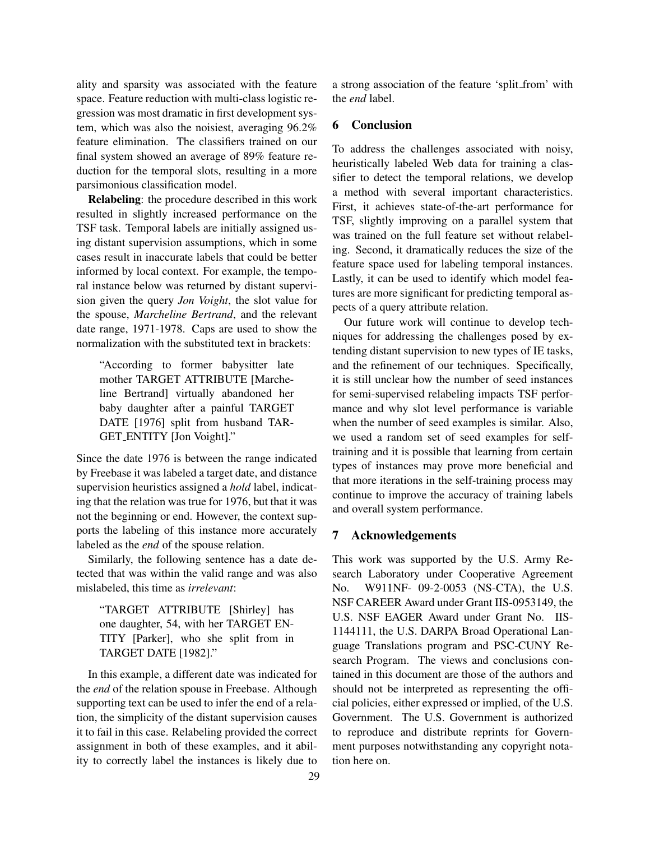ality and sparsity was associated with the feature space. Feature reduction with multi-class logistic regression was most dramatic in first development system, which was also the noisiest, averaging 96.2% feature elimination. The classifiers trained on our final system showed an average of 89% feature reduction for the temporal slots, resulting in a more parsimonious classification model.

Relabeling: the procedure described in this work resulted in slightly increased performance on the TSF task. Temporal labels are initially assigned using distant supervision assumptions, which in some cases result in inaccurate labels that could be better informed by local context. For example, the temporal instance below was returned by distant supervision given the query *Jon Voight*, the slot value for the spouse, *Marcheline Bertrand*, and the relevant date range, 1971-1978. Caps are used to show the normalization with the substituted text in brackets:

"According to former babysitter late mother TARGET ATTRIBUTE [Marcheline Bertrand] virtually abandoned her baby daughter after a painful TARGET DATE [1976] split from husband TAR-GET ENTITY [Jon Voight]."

Since the date 1976 is between the range indicated by Freebase it was labeled a target date, and distance supervision heuristics assigned a *hold* label, indicating that the relation was true for 1976, but that it was not the beginning or end. However, the context supports the labeling of this instance more accurately labeled as the *end* of the spouse relation.

Similarly, the following sentence has a date detected that was within the valid range and was also mislabeled, this time as *irrelevant*:

"TARGET ATTRIBUTE [Shirley] has one daughter, 54, with her TARGET EN-TITY [Parker], who she split from in TARGET DATE [1982]."

In this example, a different date was indicated for the *end* of the relation spouse in Freebase. Although supporting text can be used to infer the end of a relation, the simplicity of the distant supervision causes it to fail in this case. Relabeling provided the correct assignment in both of these examples, and it ability to correctly label the instances is likely due to a strong association of the feature 'split from' with the *end* label.

# 6 Conclusion

To address the challenges associated with noisy, heuristically labeled Web data for training a classifier to detect the temporal relations, we develop a method with several important characteristics. First, it achieves state-of-the-art performance for TSF, slightly improving on a parallel system that was trained on the full feature set without relabeling. Second, it dramatically reduces the size of the feature space used for labeling temporal instances. Lastly, it can be used to identify which model features are more significant for predicting temporal aspects of a query attribute relation.

Our future work will continue to develop techniques for addressing the challenges posed by extending distant supervision to new types of IE tasks, and the refinement of our techniques. Specifically, it is still unclear how the number of seed instances for semi-supervised relabeling impacts TSF performance and why slot level performance is variable when the number of seed examples is similar. Also, we used a random set of seed examples for selftraining and it is possible that learning from certain types of instances may prove more beneficial and that more iterations in the self-training process may continue to improve the accuracy of training labels and overall system performance.

# 7 Acknowledgements

This work was supported by the U.S. Army Research Laboratory under Cooperative Agreement No. W911NF- 09-2-0053 (NS-CTA), the U.S. NSF CAREER Award under Grant IIS-0953149, the U.S. NSF EAGER Award under Grant No. IIS-1144111, the U.S. DARPA Broad Operational Language Translations program and PSC-CUNY Research Program. The views and conclusions contained in this document are those of the authors and should not be interpreted as representing the official policies, either expressed or implied, of the U.S. Government. The U.S. Government is authorized to reproduce and distribute reprints for Government purposes notwithstanding any copyright notation here on.